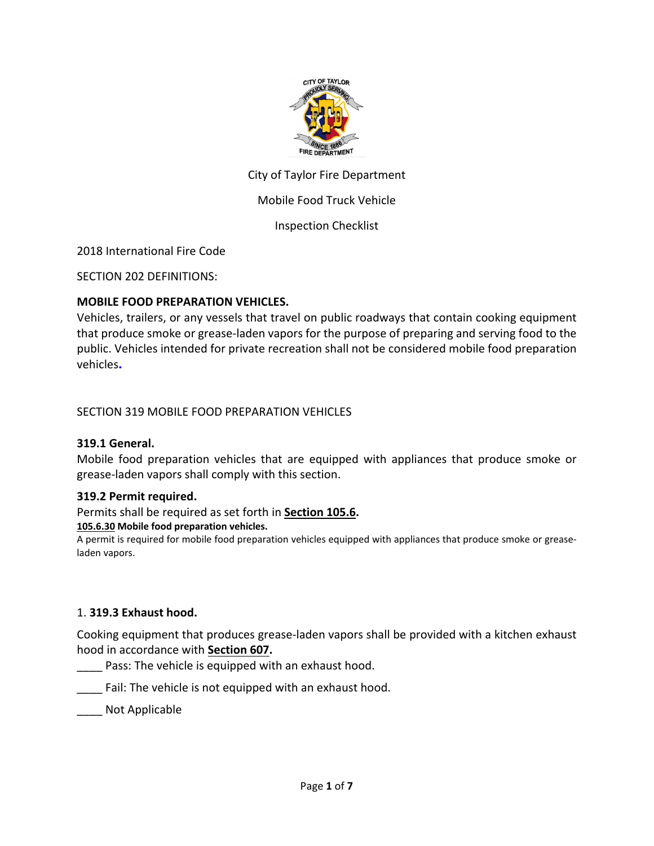

## City of Taylor Fire Department

### Mobile Food Truck Vehicle

#### Inspection Checklist

2018 International Fire Code

SECTION 202 DEFINITIONS:

#### **MOBILE FOOD PREPARATION VEHICLES.**

Vehicles, trailers, or any vessels that travel on public roadways that contain cooking equipment that produce smoke or grease-laden vapors for the purpose of preparing and serving food to the public. Vehicles intended for private recreation shall not be considered mobile food preparation vehicles.

#### SECTION 319 MOBILE FOOD PREPARATION VEHICLES

#### **319.1 General.**

Mobile food preparation vehicles that are equipped with appliances that produce smoke or grease-laden vapors shall comply with this section.

#### **319.2 Permit required.**

Permits shall be required as set forth in **[Section 105.6.](https://codes.iccsafe.org/lookup/IFC2018P5_Ch01_Sec105.6/1878)**

#### **105.6.30 Mobile food preparation vehicles.**

A permit is required for mobile food preparation vehicles equipped with appliances that produce smoke or greaseladen vapors.

#### 1. **319.3 Exhaust hood.**

Cooking equipment that produces grease-laden vapors shall be provided with a kitchen exhaust hood in accordance with **[Section 607.](https://codes.iccsafe.org/lookup/IFC2018P5_Ch06_Sec607/1878)**

- Pass: The vehicle is equipped with an exhaust hood.
- \_\_\_\_ Fail: The vehicle is not equipped with an exhaust hood.

\_\_\_\_ Not Applicable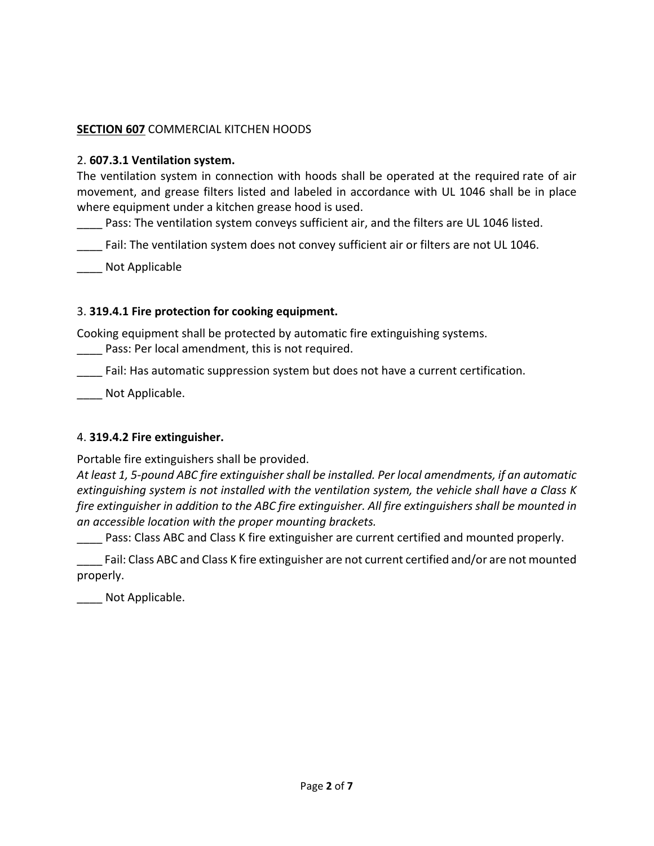## **SECTION 607** COMMERCIAL KITCHEN HOODS

### 2. **607.3.1 Ventilation system.**

The ventilation system in connection with hoods shall be operated at the required rate of air movement, and grease filters listed and labeled in accordance with UL 1046 shall be in place where equipment under a kitchen grease hood is used.

Pass: The ventilation system conveys sufficient air, and the filters are UL 1046 listed.

Fail: The ventilation system does not convey sufficient air or filters are not UL 1046.

\_\_\_\_ Not Applicable

## 3. **319.4.1 Fire protection for cooking equipment.**

Cooking equipment shall be protected by automatic fire extinguishing systems.

Pass: Per local amendment, this is not required.

Fail: Has automatic suppression system but does not have a current certification.

Not Applicable.

## 4. **319.4.2 Fire extinguisher.**

Portable fire extinguishers shall be provided.

*At least 1, 5-pound ABC fire extinguisher shall be installed. Per local amendments, if an automatic extinguishing system is not installed with the ventilation system, the vehicle shall have a Class K fire extinguisher in addition to the ABC fire extinguisher. All fire extinguishers shall be mounted in an accessible location with the proper mounting brackets.* 

Pass: Class ABC and Class K fire extinguisher are current certified and mounted properly.

Fail: Class ABC and Class K fire extinguisher are not current certified and/or are not mounted properly.

\_\_\_\_ Not Applicable.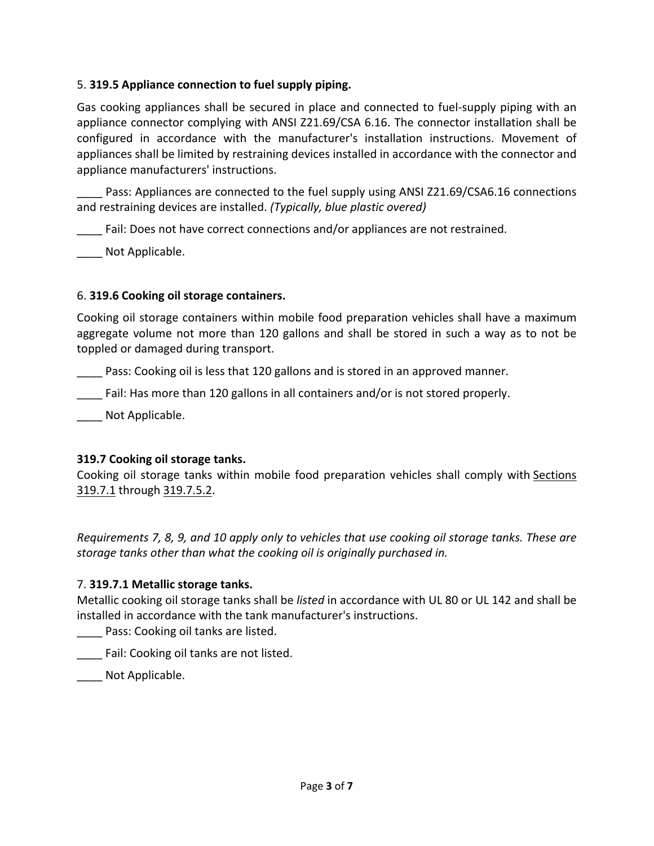## 5. **319.5 Appliance connection to fuel supply piping.**

Gas cooking appliances shall be secured in place and connected to fuel-supply piping with an appliance connector complying with ANSI Z21.69/CSA 6.16. The connector installation shall be configured in accordance with the manufacturer's installation instructions. Movement of appliances shall be limited by restraining devices installed in accordance with the connector and appliance manufacturers' instructions.

Pass: Appliances are connected to the fuel supply using ANSI Z21.69/CSA6.16 connections and restraining devices are installed. *(Typically, blue plastic overed)*

Fail: Does not have correct connections and/or appliances are not restrained.

Not Applicable.

## 6. **319.6 Cooking oil storage containers.**

Cooking oil storage containers within mobile food preparation vehicles shall have a maximum aggregate volume not more than 120 gallons and shall be stored in such a way as to not be toppled or damaged during transport.

Pass: Cooking oil is less that 120 gallons and is stored in an approved manner.

**EXECUTE:** Fail: Has more than 120 gallons in all containers and/or is not stored properly.

Not Applicable.

# **319.7 Cooking oil storage tanks.**

Cooking oil storage tanks within mobile food preparation vehicles shall comply with [Sections](https://codes.iccsafe.org/lookup/IFC2018P5_Ch03_Sec319.7.1/1878)  [319.7.1](https://codes.iccsafe.org/lookup/IFC2018P5_Ch03_Sec319.7.1/1878) through [319.7.5.2.](https://codes.iccsafe.org/lookup/IFC2018P5_Ch03_Sec319.7.5.2/1878)

*Requirements 7, 8, 9, and 10 apply only to vehicles that use cooking oil storage tanks. These are storage tanks other than what the cooking oil is originally purchased in.* 

# 7. **319.7.1 Metallic storage tanks.**

Metallic cooking oil storage tanks shall be *listed* in accordance with UL 80 or UL 142 and shall be installed in accordance with the tank manufacturer's instructions.

Pass: Cooking oil tanks are listed.

**The Fail: Cooking oil tanks are not listed.** 

Not Applicable.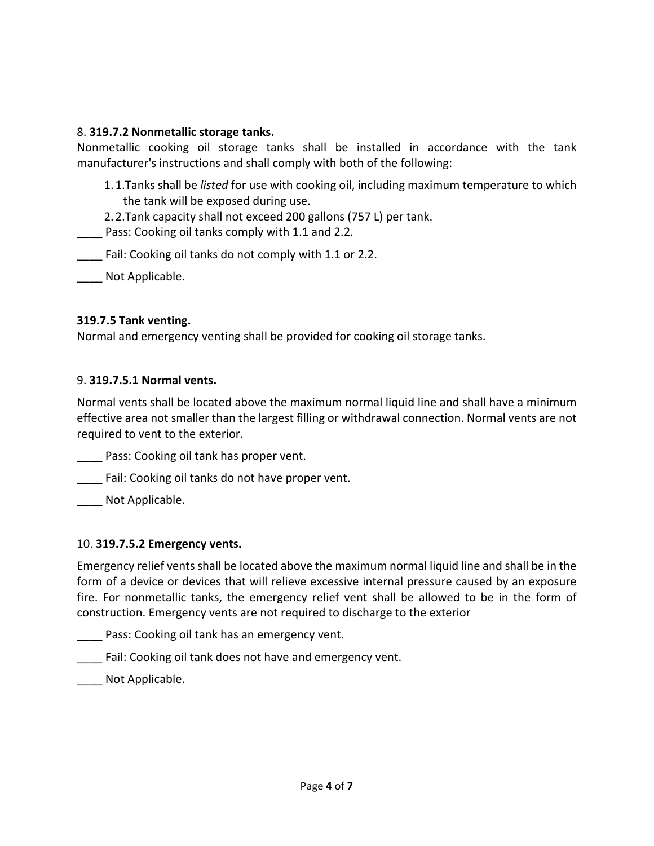## 8. **319.7.2 Nonmetallic storage tanks.**

Nonmetallic cooking oil storage tanks shall be installed in accordance with the tank manufacturer's instructions and shall comply with both of the following:

1.1.Tanks shall be *listed* for use with cooking oil, including maximum temperature to which the tank will be exposed during use.

2.2.Tank capacity shall not exceed 200 gallons (757 L) per tank.

Pass: Cooking oil tanks comply with 1.1 and 2.2.

Fail: Cooking oil tanks do not comply with 1.1 or 2.2.

Not Applicable.

### **319.7.5 Tank venting.**

Normal and emergency venting shall be provided for cooking oil storage tanks.

### 9. **319.7.5.1 Normal vents.**

Normal vents shall be located above the maximum normal liquid line and shall have a minimum effective area not smaller than the largest filling or withdrawal connection. Normal vents are not required to vent to the exterior.

Pass: Cooking oil tank has proper vent.

\_\_\_\_ Fail: Cooking oil tanks do not have proper vent.

Not Applicable.

#### 10. **319.7.5.2 Emergency vents.**

Emergency relief vents shall be located above the maximum normal liquid line and shall be in the form of a device or devices that will relieve excessive internal pressure caused by an exposure fire. For nonmetallic tanks, the emergency relief vent shall be allowed to be in the form of construction. Emergency vents are not required to discharge to the exterior

Pass: Cooking oil tank has an emergency vent.

Fail: Cooking oil tank does not have and emergency vent.

\_\_\_\_ Not Applicable.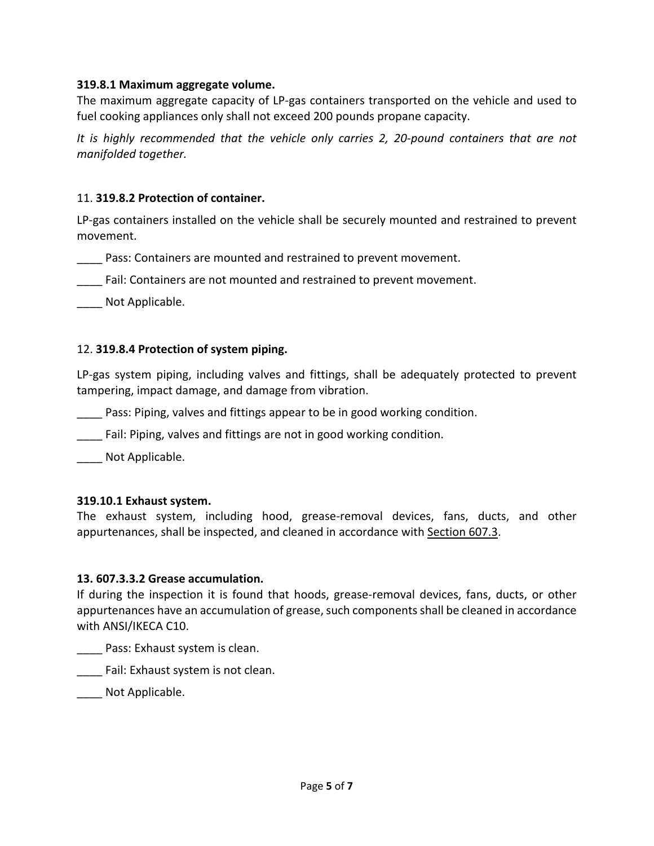#### **319.8.1 Maximum aggregate volume.**

The maximum aggregate capacity of LP-gas containers transported on the vehicle and used to fuel cooking appliances only shall not exceed 200 pounds propane capacity.

*It is highly recommended that the vehicle only carries 2, 20-pound containers that are not manifolded together.* 

### 11. **319.8.2 Protection of container.**

LP-gas containers installed on the vehicle shall be securely mounted and restrained to prevent movement.

Pass: Containers are mounted and restrained to prevent movement.

\_\_\_\_ Fail: Containers are not mounted and restrained to prevent movement.

Not Applicable.

### 12. **319.8.4 Protection of system piping.**

LP-gas system piping, including valves and fittings, shall be adequately protected to prevent tampering, impact damage, and damage from vibration.

Pass: Piping, valves and fittings appear to be in good working condition.

Fail: Piping, valves and fittings are not in good working condition.

Not Applicable.

#### **319.10.1 Exhaust system.**

The exhaust system, including hood, grease-removal devices, fans, ducts, and other appurtenances, shall be inspected, and cleaned in accordance with [Section 607.3.](https://codes.iccsafe.org/lookup/IFC2018P5_Ch06_Sec607.3/1878)

#### **13. 607.3.3.2 Grease accumulation.**

If during the inspection it is found that hoods, grease-removal devices, fans, ducts, or other appurtenances have an accumulation of grease, such components shall be cleaned in accordance with ANSI/IKECA C10.

\_\_\_\_ Pass: Exhaust system is clean.

**EXPEDITE:** Fail: Exhaust system is not clean.

Not Applicable.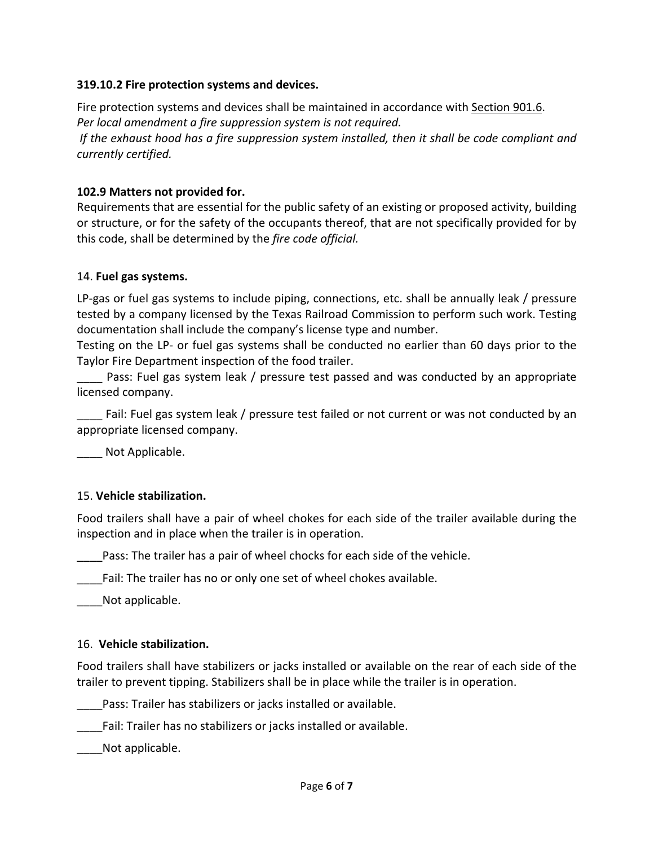### **319.10.2 Fire protection systems and devices.**

Fire protection systems and devices shall be maintained in accordance with [Section 901.6.](https://codes.iccsafe.org/lookup/IFC2018P5_Ch09_Sec901.6/1878) *Per local amendment a fire suppression system is not required.*

*If the exhaust hood has a fire suppression system installed, then it shall be code compliant and currently certified.* 

### **102.9 Matters not provided for.**

Requirements that are essential for the public safety of an existing or proposed activity, building or structure, or for the safety of the occupants thereof, that are not specifically provided for by this code, shall be determined by the *fire code official.*

#### 14. **Fuel gas systems.**

LP-gas or fuel gas systems to include piping, connections, etc. shall be annually leak / pressure tested by a company licensed by the Texas Railroad Commission to perform such work. Testing documentation shall include the company's license type and number.

Testing on the LP- or fuel gas systems shall be conducted no earlier than 60 days prior to the Taylor Fire Department inspection of the food trailer.

Pass: Fuel gas system leak / pressure test passed and was conducted by an appropriate licensed company.

Fail: Fuel gas system leak / pressure test failed or not current or was not conducted by an appropriate licensed company.

Not Applicable.

## 15. **Vehicle stabilization.**

Food trailers shall have a pair of wheel chokes for each side of the trailer available during the inspection and in place when the trailer is in operation.

\_\_\_\_Pass: The trailer has a pair of wheel chocks for each side of the vehicle.

Fail: The trailer has no or only one set of wheel chokes available.

Not applicable.

#### 16. **Vehicle stabilization.**

Food trailers shall have stabilizers or jacks installed or available on the rear of each side of the trailer to prevent tipping. Stabilizers shall be in place while the trailer is in operation.

Pass: Trailer has stabilizers or jacks installed or available.

Fail: Trailer has no stabilizers or jacks installed or available.

Not applicable.